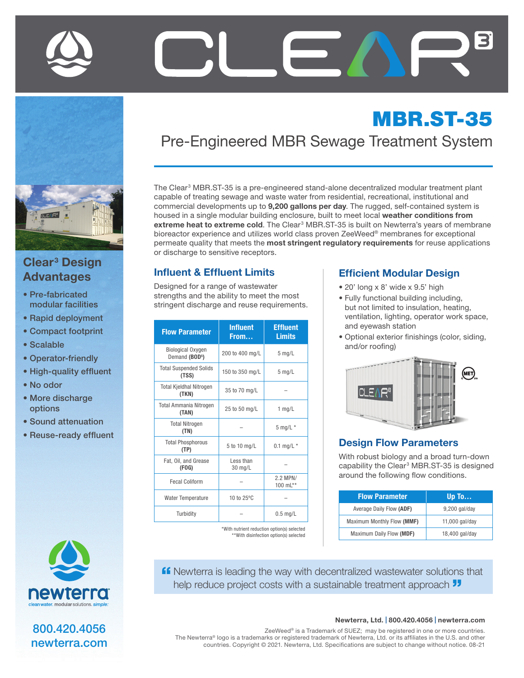



## Clear<sup>3</sup> Design Advantages

- Pre-fabricated modular facilities
- Rapid deployment
- Compact footprint
- Scalable
- Operator-friendly
- High-quality effluent
- No odor
- More discharge options
- Sound attenuation
- Reuse-ready effluent



800.420.4056 newterra.com

# MBR.ST-35 Pre-Engineered MBR Sewage Treatment System

The Clear<sup>3</sup> MBR.ST-35 is a pre-engineered stand-alone decentralized modular treatment plant capable of treating sewage and waste water from residential, recreational, institutional and commercial developments up to 9,200 gallons per day. The rugged, self-contained system is housed in a single modular building enclosure, built to meet local weather conditions from extreme heat to extreme cold. The Clear<sup>3</sup> MBR.ST-35 is built on Newterra's years of membrane bioreactor experience and utilizes world class proven ZeeWeed® membranes for exceptional permeate quality that meets the most stringent regulatory requirements for reuse applications or discharge to sensitive receptors.

#### Influent & Effluent Limits

Designed for a range of wastewater strengths and the ability to meet the most stringent discharge and reuse requirements.

| <b>Flow Parameter</b>                                  | <b>Influent</b><br>From | <b>Effluent</b><br><b>Limits</b> |
|--------------------------------------------------------|-------------------------|----------------------------------|
| <b>Biological Oxygen</b><br>Demand (BOD <sup>5</sup> ) | 200 to 400 mg/L         | $5$ mg/L                         |
| <b>Total Suspended Solids</b><br>(TSS)                 | 150 to 350 mg/L         | $5$ mg/L                         |
| <b>Total Kjeldhal Nitrogen</b><br>(TKN)                | 35 to 70 mg/L           |                                  |
| <b>Total Ammania Nitrogen</b><br>(TAN)                 | 25 to 50 mg/L           | $1$ mg/L                         |
| <b>Total Nitrogen</b><br>(TN)                          |                         | $5$ mg/L $*$                     |
| <b>Total Phosphorous</b><br>(TP)                       | 5 to 10 mg/L            | 0.1 mg/L $*$                     |
| Fat, Oil, and Grease<br>(FOG)                          | Less than<br>30 mg/L    |                                  |
| <b>Fecal Coliform</b>                                  |                         | 2.2 MPN/<br>100 $mL***$          |
| <b>Water Temperature</b>                               | 10 to 25°C              |                                  |
| Turbidity                                              |                         | $0.5$ mg/L                       |

\*With nutrient reduction option(s) selected \*\*With disinfection option(s) selected

#### Efficient Modular Design

- 20' long x 8' wide x 9.5' high
- Fully functional building including, but not limited to insulation, heating, ventilation, lighting, operator work space, and eyewash station
- Optional exterior finishings (color, siding, and/or roofing)



#### Design Flow Parameters

With robust biology and a broad turn-down capability the Clear<sup>3</sup> MBR.ST-35 is designed around the following flow conditions.

| <b>Flow Parameter</b>      | Up To          |
|----------------------------|----------------|
| Average Daily Flow (ADF)   | 9,200 gal/day  |
| Maximum Monthly Flow (MMF) | 11,000 gal/day |
| Maximum Daily Flow (MDF)   | 18,400 gal/day |

**ff** Newterra is leading the way with decentralized wastewater solutions that help reduce project costs with a sustainable treatment approach  $\overline{\mathbf{J}}$ 

#### Newterra, Ltd. | 800.420.4056 | newterra.com

ZeeWeed® is a Trademark of SUEZ; may be registered in one or more countries. The Newterra® logo is a trademarks or registered trademark of Newterra, Ltd. or its affiliates in the U.S. and other countries. Copyright © 2021. Newterra, Ltd. Specifications are subject to change without notice. 08-21